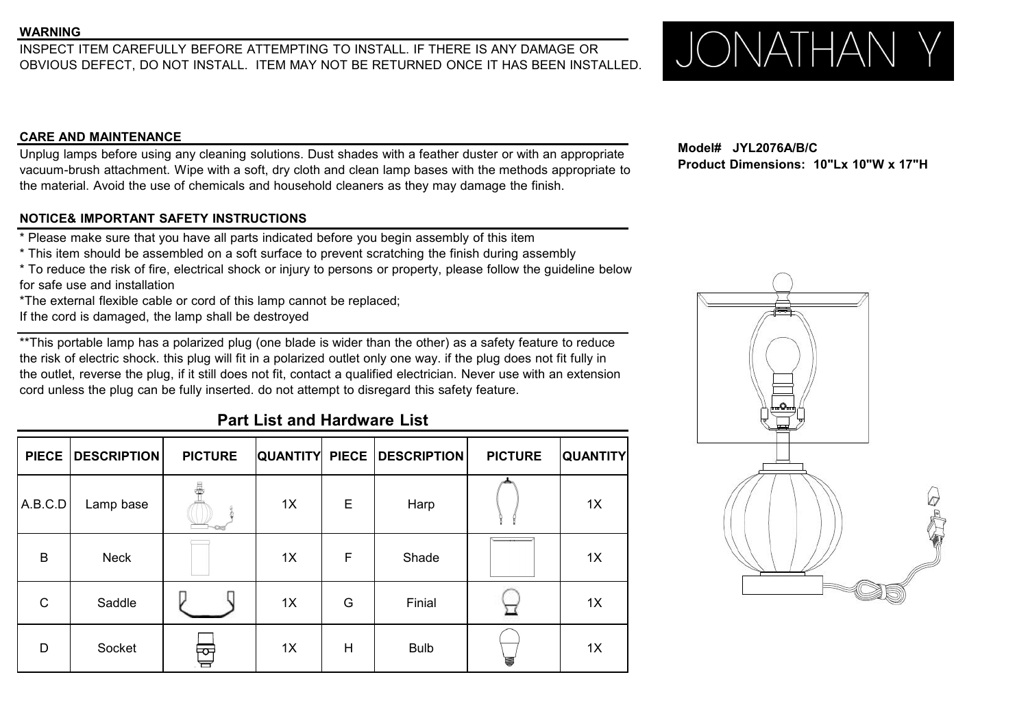WARNING<br>INSPECT ITEM CAREFULLY BEFORE ATTEMPTING TO INSTALL. IF THERE IS ANY DAMAGE OR<br>ORVIOUS DEFECT DO NOT INSTALL. ITEM MAY NOT BE RETURNED ONCE IT HAS REEN INSTALLED. JUNIOUS DEFECT DO NOT INSTALL. OBVIOUS DEFECT, DO NOT INSTALL. ITEM MAY NOT BE RETURNED ONCE IT HAS BEEN INSTALLED.

### **CARE AND MAINTENANCE**

Unplug lamps before using any cleaning solutions. Dust shades with a feather duster or with an appropriate vacuum-brush attachment. Wipe with a soft, dry cloth and clean lamp bases with the methods appropriate to the material. Avoid the use of chemicals and household cleaners as they may damage the finish.

## **NOTICE& IMPORTANT SAFETY INSTRUCTIONS**

\* Please make sure that you have all parts indicated before you begin assembly of this item

\* This item should be assembled on a soft surface to prevent scratching the finish during assembly

\* To reduce the risk of fire, electrical shock or injury to persons or property, please follow the guideline below for safe use and installation

\*The external flexible cable or cord of this lamp cannot be replaced;

If the cord is damaged, the lamp shall be destroyed

\*\*This portable lamp has a polarized plug (one blade is wider than the other) as a safety feature to reduce the risk of electric shock. this plug will fit in a polarized outlet only one way. if the plug does not fit fully in the outlet, reverse the plug, if it still does not fit, contact a qualified electrician. Never use with an extension cord unless the plug can be fully inserted. do not attempt to disregard this safety feature.

## **Part List and Hardware List**

|              | PIECE   DESCRIPTION | <b>PICTURE</b> |    |             | QUANTITY PIECE DESCRIPTION | <b>PICTURE</b>                    | <b>QUANTITY</b> |
|--------------|---------------------|----------------|----|-------------|----------------------------|-----------------------------------|-----------------|
| A.B.C.D      | Lamp base           | 4              | 1X | $\mathsf E$ | Harp                       |                                   | 1X              |
| B            | Neck                |                | 1X | F           | Shade                      | and the state of the state of the | 1X              |
| $\mathsf{C}$ | Saddle              |                | 1X | G           | Finial                     |                                   | 1X              |
| D            | Socket              | 邑              | 1X | H           | <b>Bulb</b>                | U                                 | 1X              |

**Model# JYL2076A/B/C Product Dimensions: 10"Lx 10"W x 17"H**